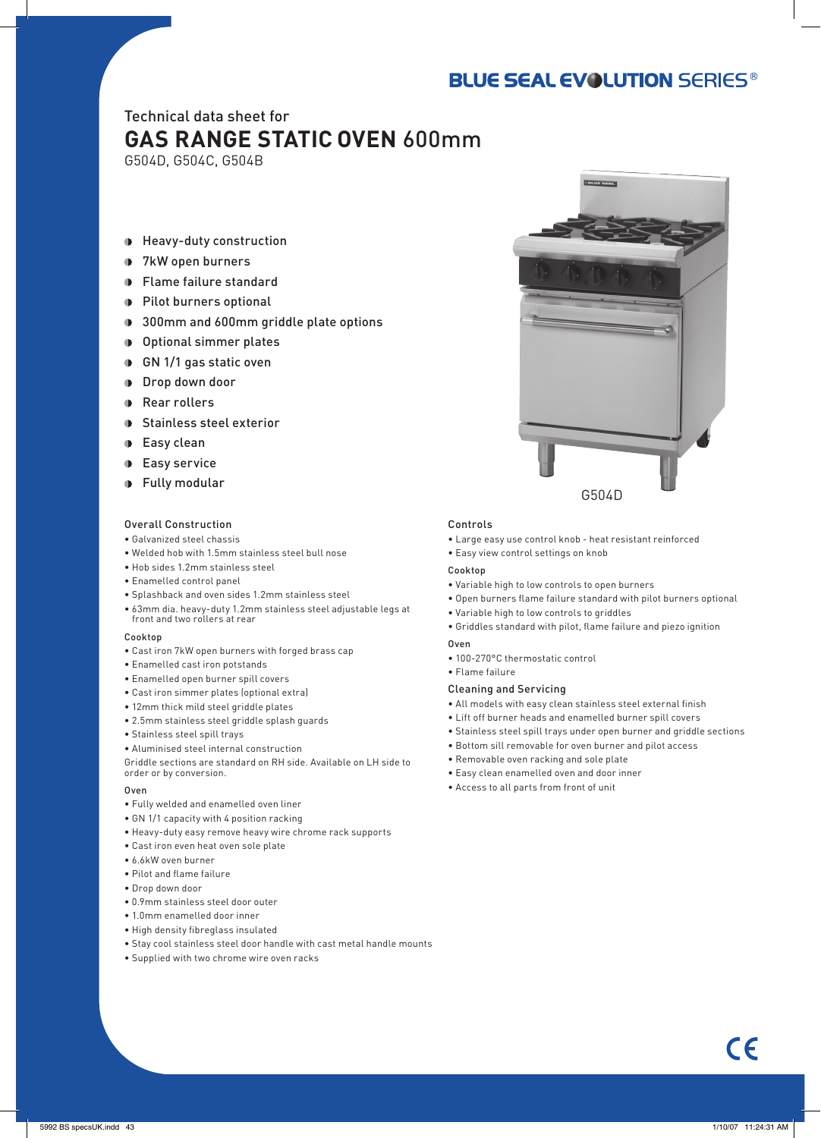## **BLUE SEAL EVOLUTION SERIES®**

### Technical data sheet for **GAS RANGE STATIC OVEN** 600mm

G504D, G504C, G504B

- Heavy-duty construction
- **1** 7kW open burners
- Flame failure standard
- Pilot burners optional
- **1** 300mm and 600mm griddle plate options
- Optional simmer plates
- GN 1/1 gas static oven
- **Drop down door**
- **Rear rollers**
- **D** Stainless steel exterior
- **Easy clean**
- **Easy service**
- Fully modular

#### Overall Construction

- Galvanized steel chassis
- Welded hob with 1.5mm stainless steel bull nose
- Hob sides 1.2mm stainless steel
- Enamelled control panel
- Splashback and oven sides 1.2mm stainless steel
- 63mm dia. heavy-duty 1.2mm stainless steel adjustable legs at front and two rollers at rear

#### Cooktop

- Cast iron 7kW open burners with forged brass cap
- Enamelled cast iron potstands
- Enamelled open burner spill covers
- Cast iron simmer plates (optional extra)
- 12mm thick mild steel griddle plates
- 2.5mm stainless steel griddle splash guards
- Stainless steel spill trays
- Aluminised steel internal construction

Griddle sections are standard on RH side. Available on LH side to order or by conversion.

#### Oven

- Fully welded and enamelled oven liner
- GN 1/1 capacity with 4 position racking
- Heavy-duty easy remove heavy wire chrome rack supports
- Cast iron even heat oven sole plate
- 6.6kW oven burner
- Pilot and flame failure
- Drop down door
- 0.9mm stainless steel door outer
- 1.0mm enamelled door inner
- High density fibreglass insulated
- Stay cool stainless steel door handle with cast metal handle mounts
- Supplied with two chrome wire oven racks



#### Controls

- Large easy use control knob heat resistant reinforced
- Easy view control settings on knob

#### Cookton

- Variable high to low controls to open burners
- Open burners flame failure standard with pilot burners optional
- Variable high to low controls to griddles
- Griddles standard with pilot, flame failure and piezo ignition

#### Oven

- 100-270°C thermostatic control
- Flame failure

#### Cleaning and Servicing

- All models with easy clean stainless steel external finish
- Lift off burner heads and enamelled burner spill covers
- Stainless steel spill trays under open burner and griddle sections
- Bottom sill removable for oven burner and pilot access
- Removable oven racking and sole plate
- Easy clean enamelled oven and door inner
- Access to all parts from front of unit